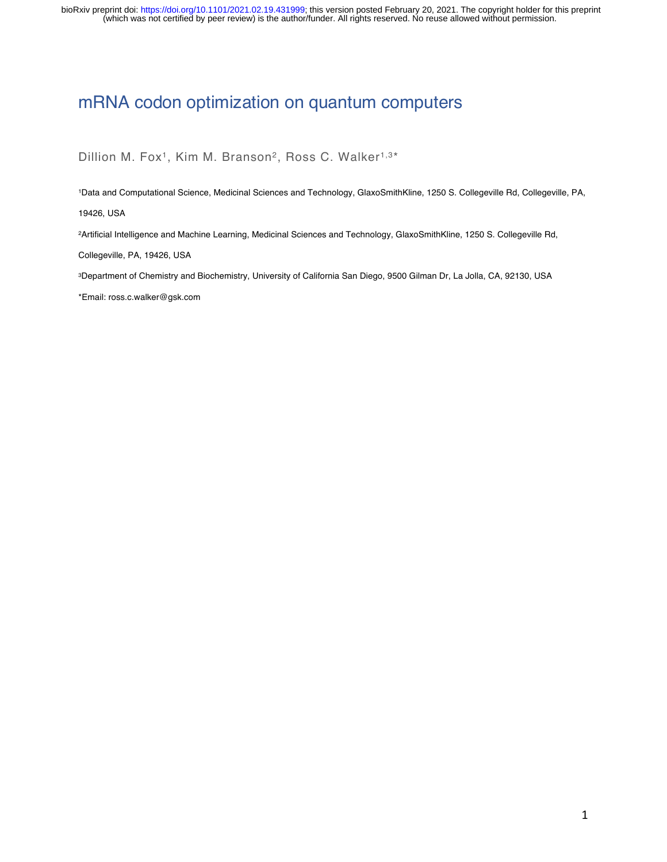(which was not certified by peer review) is the author/funder. All rights reserved. No reuse allowed without permission. bioRxiv preprint doi: [https://doi.org/10.1101/2021.02.19.431999;](https://doi.org/10.1101/2021.02.19.431999) this version posted February 20, 2021. The copyright holder for this preprint

## mRNA codon optimization on quantum computers

Dillion M. Fox<sup>1</sup>, Kim M. Branson<sup>2</sup>, Ross C. Walker<sup>1,3\*</sup>

1Data and Computational Science, Medicinal Sciences and Technology, GlaxoSmithKline, 1250 S. Collegeville Rd, Collegeville, PA, 19426, USA

2Artificial Intelligence and Machine Learning, Medicinal Sciences and Technology, GlaxoSmithKline, 1250 S. Collegeville Rd,

Collegeville, PA, 19426, USA

3Department of Chemistry and Biochemistry, University of California San Diego, 9500 Gilman Dr, La Jolla, CA, 92130, USA

\*Email: ross.c.walker@gsk.com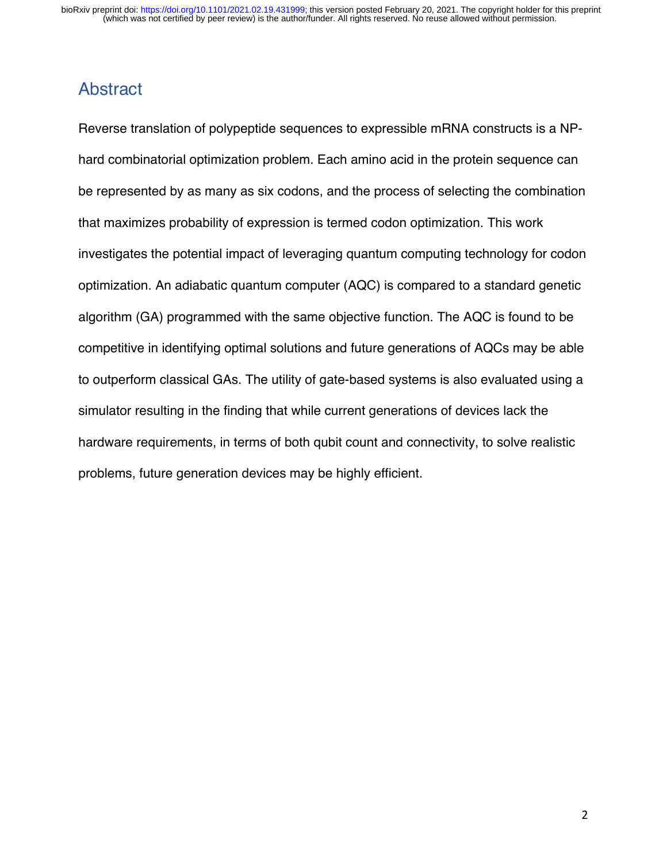## Abstract

Reverse translation of polypeptide sequences to expressible mRNA constructs is a NPhard combinatorial optimization problem. Each amino acid in the protein sequence can be represented by as many as six codons, and the process of selecting the combination that maximizes probability of expression is termed codon optimization. This work investigates the potential impact of leveraging quantum computing technology for codon optimization. An adiabatic quantum computer (AQC) is compared to a standard genetic algorithm (GA) programmed with the same objective function. The AQC is found to be competitive in identifying optimal solutions and future generations of AQCs may be able to outperform classical GAs. The utility of gate-based systems is also evaluated using a simulator resulting in the finding that while current generations of devices lack the hardware requirements, in terms of both qubit count and connectivity, to solve realistic problems, future generation devices may be highly efficient.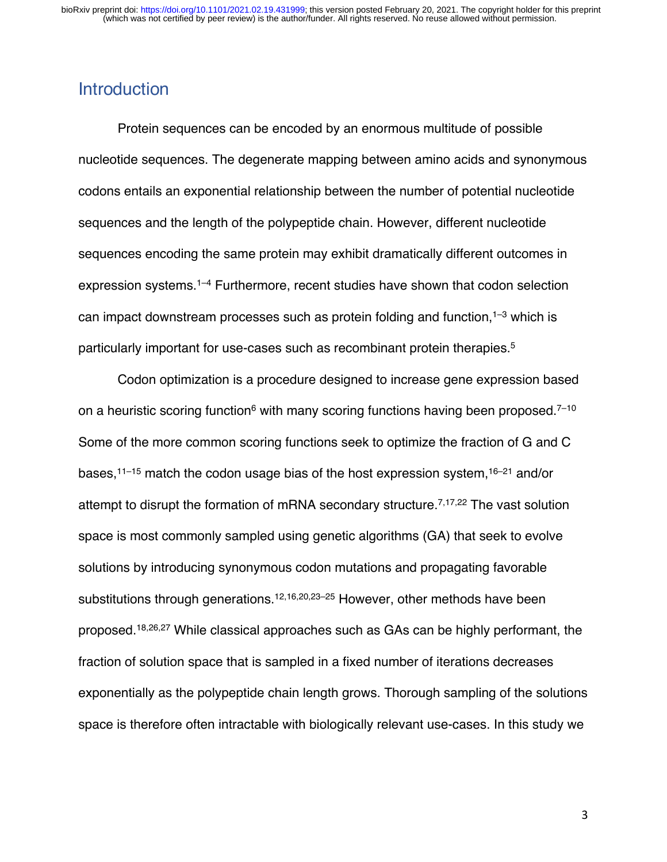## **Introduction**

Protein sequences can be encoded by an enormous multitude of possible nucleotide sequences. The degenerate mapping between amino acids and synonymous codons entails an exponential relationship between the number of potential nucleotide sequences and the length of the polypeptide chain. However, different nucleotide sequences encoding the same protein may exhibit dramatically different outcomes in expression systems. 1–4 Furthermore, recent studies have shown that codon selection can impact downstream processes such as protein folding and function,<sup>1–3</sup> which is particularly important for use-cases such as recombinant protein therapies. 5

Codon optimization is a procedure designed to increase gene expression based on a heuristic scoring function<sup>6</sup> with many scoring functions having been proposed.<sup>7-10</sup> Some of the more common scoring functions seek to optimize the fraction of G and C bases,11–15 match the codon usage bias of the host expression system, 16–21 and/or attempt to disrupt the formation of mRNA secondary structure.<sup> $7,17,22$ </sup> The vast solution space is most commonly sampled using genetic algorithms (GA) that seek to evolve solutions by introducing synonymous codon mutations and propagating favorable substitutions through generations.12,16,20,23–25 However, other methods have been proposed.18,26,27 While classical approaches such as GAs can be highly performant, the fraction of solution space that is sampled in a fixed number of iterations decreases exponentially as the polypeptide chain length grows. Thorough sampling of the solutions space is therefore often intractable with biologically relevant use-cases. In this study we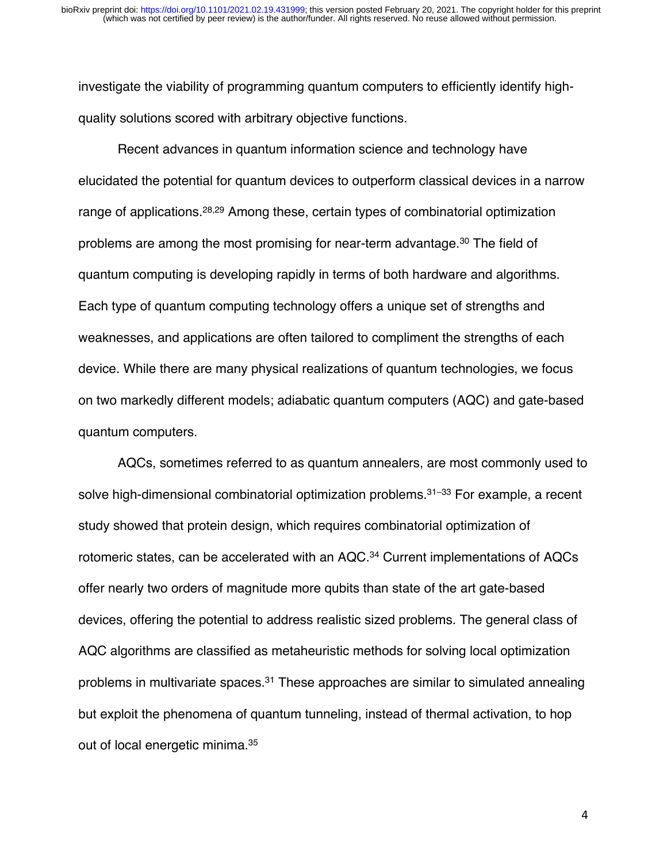investigate the viability of programming quantum computers to efficiently identify highquality solutions scored with arbitrary objective functions.

Recent advances in quantum information science and technology have elucidated the potential for quantum devices to outperform classical devices in a narrow range of applications.28,29 Among these, certain types of combinatorial optimization problems are among the most promising for near-term advantage. <sup>30</sup> The field of quantum computing is developing rapidly in terms of both hardware and algorithms. Each type of quantum computing technology offers a unique set of strengths and weaknesses, and applications are often tailored to compliment the strengths of each device. While there are many physical realizations of quantum technologies, we focus on two markedly different models; adiabatic quantum computers (AQC) and gate-based quantum computers.

AQCs, sometimes referred to as quantum annealers, are most commonly used to solve high-dimensional combinatorial optimization problems.<sup>31-33</sup> For example, a recent study showed that protein design, which requires combinatorial optimization of rotomeric states, can be accelerated with an AQC.<sup>34</sup> Current implementations of AQCs offer nearly two orders of magnitude more qubits than state of the art gate-based devices, offering the potential to address realistic sized problems. The general class of AQC algorithms are classified as metaheuristic methods for solving local optimization problems in multivariate spaces.<sup>31</sup> These approaches are similar to simulated annealing but exploit the phenomena of quantum tunneling, instead of thermal activation, to hop out of local energetic minima.<sup>35</sup>

4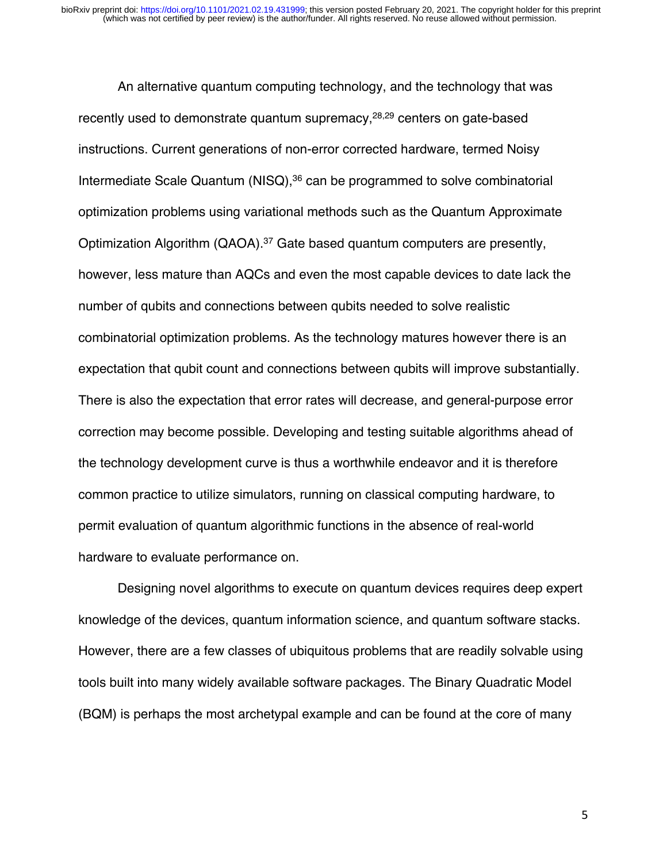An alternative quantum computing technology, and the technology that was recently used to demonstrate quantum supremacy,<sup>28,29</sup> centers on gate-based instructions. Current generations of non-error corrected hardware, termed Noisy Intermediate Scale Quantum (NISQ), <sup>36</sup> can be programmed to solve combinatorial optimization problems using variational methods such as the Quantum Approximate Optimization Algorithm (QAOA).37 Gate based quantum computers are presently, however, less mature than AQCs and even the most capable devices to date lack the number of qubits and connections between qubits needed to solve realistic combinatorial optimization problems. As the technology matures however there is an expectation that qubit count and connections between qubits will improve substantially. There is also the expectation that error rates will decrease, and general-purpose error correction may become possible. Developing and testing suitable algorithms ahead of the technology development curve is thus a worthwhile endeavor and it is therefore common practice to utilize simulators, running on classical computing hardware, to permit evaluation of quantum algorithmic functions in the absence of real-world hardware to evaluate performance on.

Designing novel algorithms to execute on quantum devices requires deep expert knowledge of the devices, quantum information science, and quantum software stacks. However, there are a few classes of ubiquitous problems that are readily solvable using tools built into many widely available software packages. The Binary Quadratic Model (BQM) is perhaps the most archetypal example and can be found at the core of many

5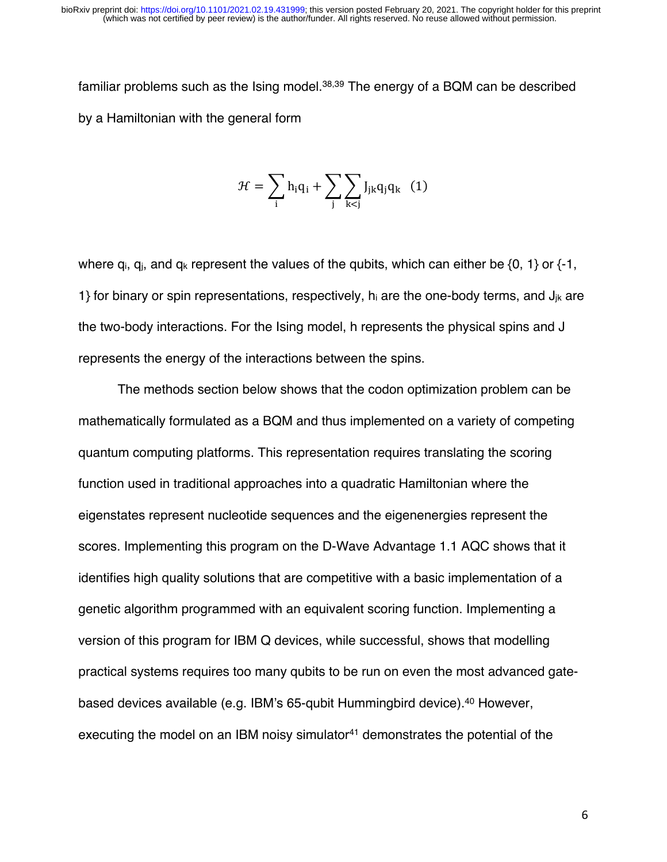familiar problems such as the Ising model.38,39 The energy of a BQM can be described by a Hamiltonian with the general form

$$
\mathcal{H} = \sum_i h_i q_i + \sum_j \sum_{k < j} J_{jk} q_j q_k \ (1)
$$

where  $q_i$ ,  $q_i$ , and  $q_k$  represent the values of the qubits, which can either be  $\{0, 1\}$  or  $\{-1, \}$ 1} for binary or spin representations, respectively,  $h_i$  are the one-body terms, and  $J_{ik}$  are the two-body interactions. For the Ising model, h represents the physical spins and J represents the energy of the interactions between the spins.

The methods section below shows that the codon optimization problem can be mathematically formulated as a BQM and thus implemented on a variety of competing quantum computing platforms. This representation requires translating the scoring function used in traditional approaches into a quadratic Hamiltonian where the eigenstates represent nucleotide sequences and the eigenenergies represent the scores. Implementing this program on the D-Wave Advantage 1.1 AQC shows that it identifies high quality solutions that are competitive with a basic implementation of a genetic algorithm programmed with an equivalent scoring function. Implementing a version of this program for IBM Q devices, while successful, shows that modelling practical systems requires too many qubits to be run on even the most advanced gatebased devices available (e.g. IBM's 65-qubit Hummingbird device).40 However, executing the model on an IBM noisy simulator<sup>41</sup> demonstrates the potential of the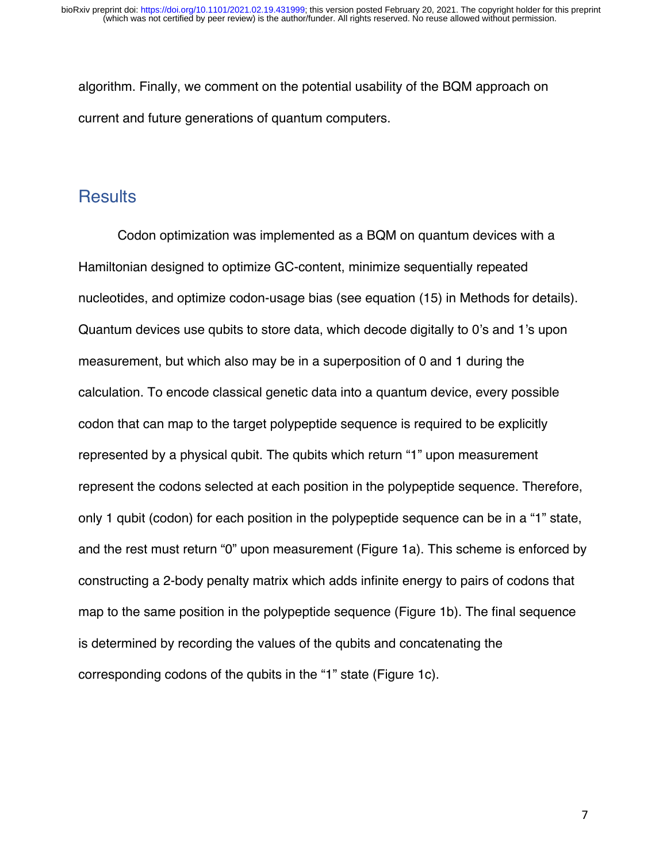algorithm. Finally, we comment on the potential usability of the BQM approach on current and future generations of quantum computers.

### **Results**

Codon optimization was implemented as a BQM on quantum devices with a Hamiltonian designed to optimize GC-content, minimize sequentially repeated nucleotides, and optimize codon-usage bias (see equation (15) in Methods for details). Quantum devices use qubits to store data, which decode digitally to 0's and 1's upon measurement, but which also may be in a superposition of 0 and 1 during the calculation. To encode classical genetic data into a quantum device, every possible codon that can map to the target polypeptide sequence is required to be explicitly represented by a physical qubit. The qubits which return "1" upon measurement represent the codons selected at each position in the polypeptide sequence. Therefore, only 1 qubit (codon) for each position in the polypeptide sequence can be in a "1" state, and the rest must return "0" upon measurement (Figure 1a). This scheme is enforced by constructing a 2-body penalty matrix which adds infinite energy to pairs of codons that map to the same position in the polypeptide sequence (Figure 1b). The final sequence is determined by recording the values of the qubits and concatenating the corresponding codons of the qubits in the "1" state (Figure 1c).

7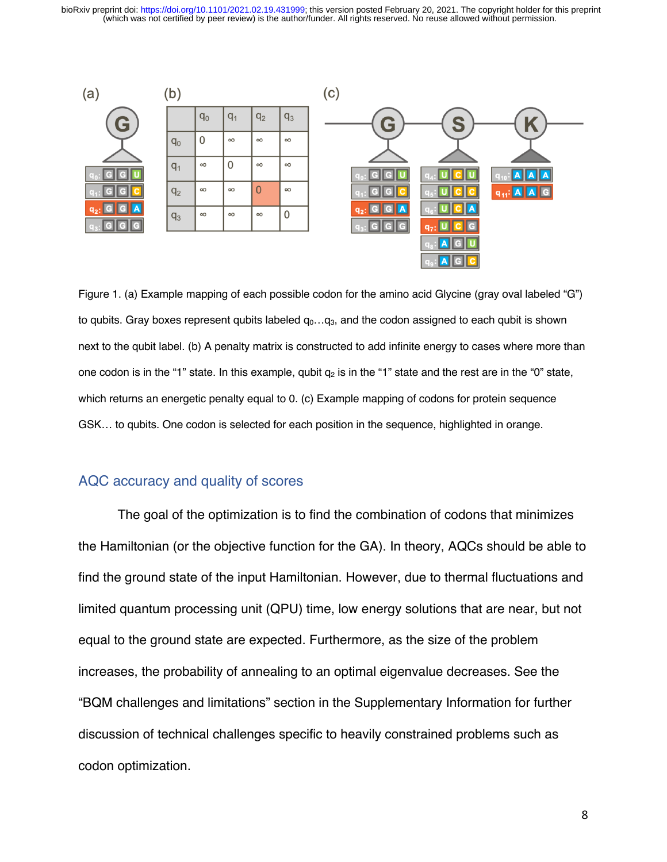(which was not certified by peer review) is the author/funder. All rights reserved. No reuse allowed without permission. bioRxiv preprint doi: [https://doi.org/10.1101/2021.02.19.431999;](https://doi.org/10.1101/2021.02.19.431999) this version posted February 20, 2021. The copyright holder for this preprint



Figure 1. (a) Example mapping of each possible codon for the amino acid Glycine (gray oval labeled "G") to qubits. Gray boxes represent qubits labeled  $q_0...q_3$ , and the codon assigned to each qubit is shown next to the qubit label. (b) A penalty matrix is constructed to add infinite energy to cases where more than one codon is in the "1" state. In this example, qubit  $q_2$  is in the "1" state and the rest are in the "0" state, which returns an energetic penalty equal to 0. (c) Example mapping of codons for protein sequence GSK… to qubits. One codon is selected for each position in the sequence, highlighted in orange.

#### AQC accuracy and quality of scores

The goal of the optimization is to find the combination of codons that minimizes the Hamiltonian (or the objective function for the GA). In theory, AQCs should be able to find the ground state of the input Hamiltonian. However, due to thermal fluctuations and limited quantum processing unit (QPU) time, low energy solutions that are near, but not equal to the ground state are expected. Furthermore, as the size of the problem increases, the probability of annealing to an optimal eigenvalue decreases. See the "BQM challenges and limitations" section in the Supplementary Information for further discussion of technical challenges specific to heavily constrained problems such as codon optimization.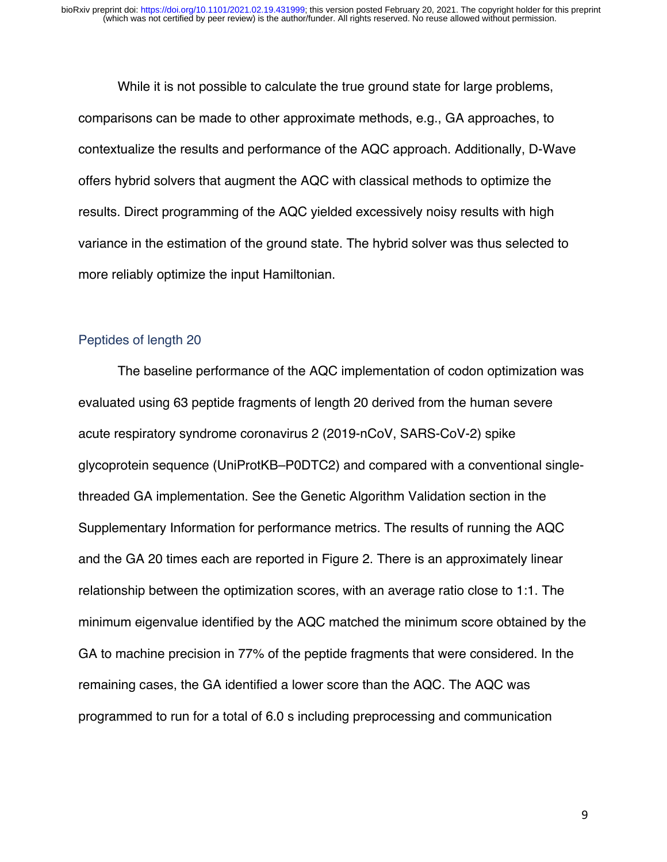While it is not possible to calculate the true ground state for large problems, comparisons can be made to other approximate methods, e.g., GA approaches, to contextualize the results and performance of the AQC approach. Additionally, D-Wave offers hybrid solvers that augment the AQC with classical methods to optimize the results. Direct programming of the AQC yielded excessively noisy results with high variance in the estimation of the ground state. The hybrid solver was thus selected to more reliably optimize the input Hamiltonian.

#### Peptides of length 20

The baseline performance of the AQC implementation of codon optimization was evaluated using 63 peptide fragments of length 20 derived from the human severe acute respiratory syndrome coronavirus 2 (2019-nCoV, SARS-CoV-2) spike glycoprotein sequence (UniProtKB–P0DTC2) and compared with a conventional singlethreaded GA implementation. See the Genetic Algorithm Validation section in the Supplementary Information for performance metrics. The results of running the AQC and the GA 20 times each are reported in Figure 2. There is an approximately linear relationship between the optimization scores, with an average ratio close to 1:1. The minimum eigenvalue identified by the AQC matched the minimum score obtained by the GA to machine precision in 77% of the peptide fragments that were considered. In the remaining cases, the GA identified a lower score than the AQC. The AQC was programmed to run for a total of 6.0 s including preprocessing and communication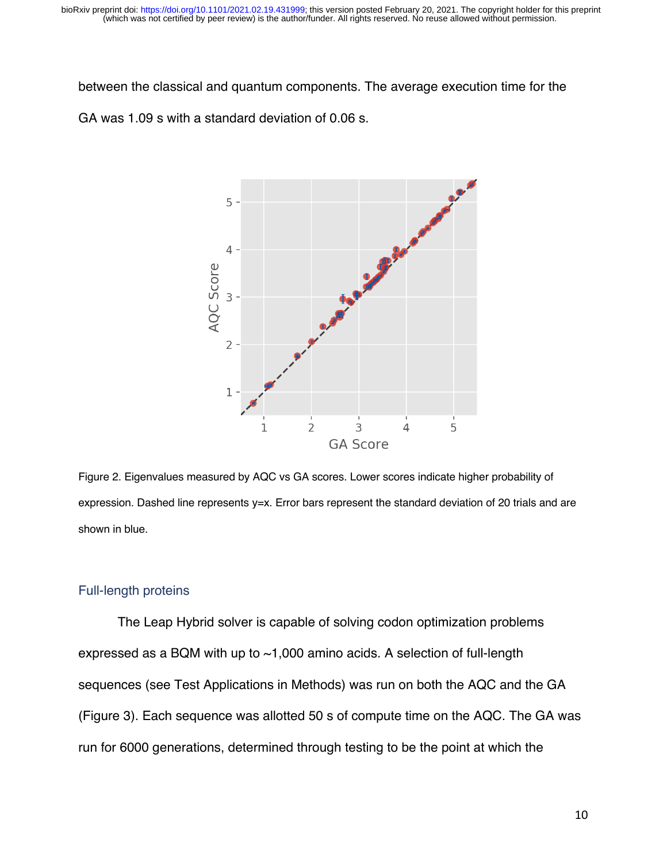between the classical and quantum components. The average execution time for the GA was 1.09 s with a standard deviation of 0.06 s.



Figure 2. Eigenvalues measured by AQC vs GA scores. Lower scores indicate higher probability of expression. Dashed line represents y=x. Error bars represent the standard deviation of 20 trials and are shown in blue.

#### Full-length proteins

The Leap Hybrid solver is capable of solving codon optimization problems expressed as a BQM with up to ~1,000 amino acids. A selection of full-length sequences (see Test Applications in Methods) was run on both the AQC and the GA (Figure 3). Each sequence was allotted 50 s of compute time on the AQC. The GA was run for 6000 generations, determined through testing to be the point at which the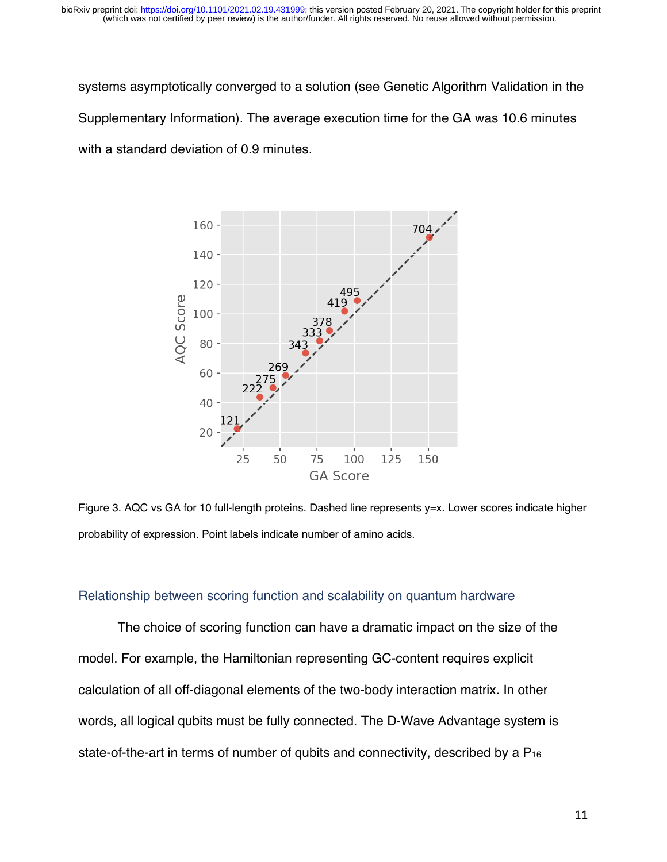systems asymptotically converged to a solution (see Genetic Algorithm Validation in the Supplementary Information). The average execution time for the GA was 10.6 minutes with a standard deviation of 0.9 minutes.



Figure 3. AQC vs GA for 10 full-length proteins. Dashed line represents y=x. Lower scores indicate higher probability of expression. Point labels indicate number of amino acids.

#### Relationship between scoring function and scalability on quantum hardware

The choice of scoring function can have a dramatic impact on the size of the model. For example, the Hamiltonian representing GC-content requires explicit calculation of all off-diagonal elements of the two-body interaction matrix. In other words, all logical qubits must be fully connected. The D-Wave Advantage system is state-of-the-art in terms of number of qubits and connectivity, described by a P<sub>16</sub>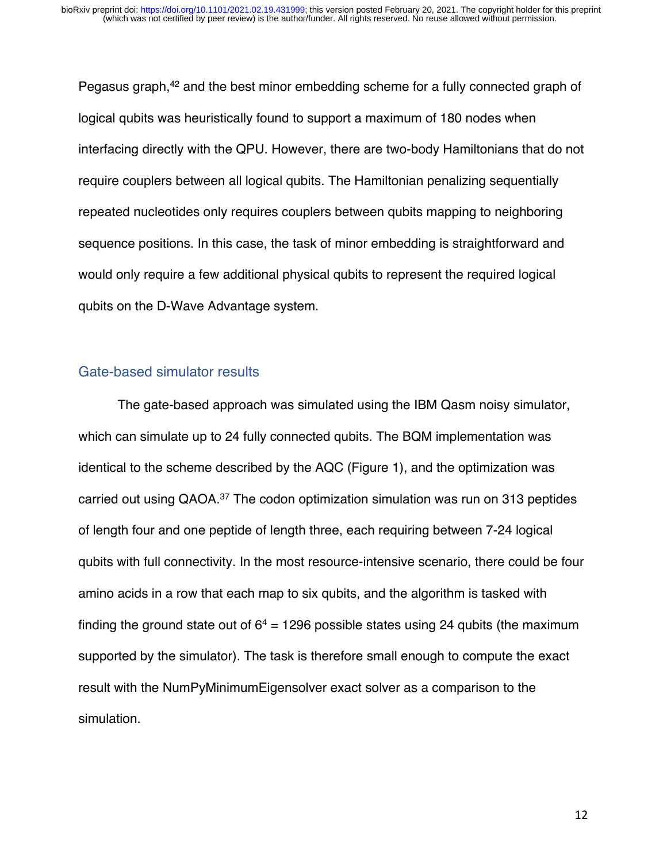Pegasus graph,<sup>42</sup> and the best minor embedding scheme for a fully connected graph of logical qubits was heuristically found to support a maximum of 180 nodes when interfacing directly with the QPU. However, there are two-body Hamiltonians that do not require couplers between all logical qubits. The Hamiltonian penalizing sequentially repeated nucleotides only requires couplers between qubits mapping to neighboring sequence positions. In this case, the task of minor embedding is straightforward and would only require a few additional physical qubits to represent the required logical qubits on the D-Wave Advantage system.

#### Gate-based simulator results

The gate-based approach was simulated using the IBM Qasm noisy simulator, which can simulate up to 24 fully connected qubits. The BQM implementation was identical to the scheme described by the AQC (Figure 1), and the optimization was carried out using QAOA.37 The codon optimization simulation was run on 313 peptides of length four and one peptide of length three, each requiring between 7-24 logical qubits with full connectivity. In the most resource-intensive scenario, there could be four amino acids in a row that each map to six qubits, and the algorithm is tasked with finding the ground state out of  $6^4$  = 1296 possible states using 24 qubits (the maximum supported by the simulator). The task is therefore small enough to compute the exact result with the NumPyMinimumEigensolver exact solver as a comparison to the simulation.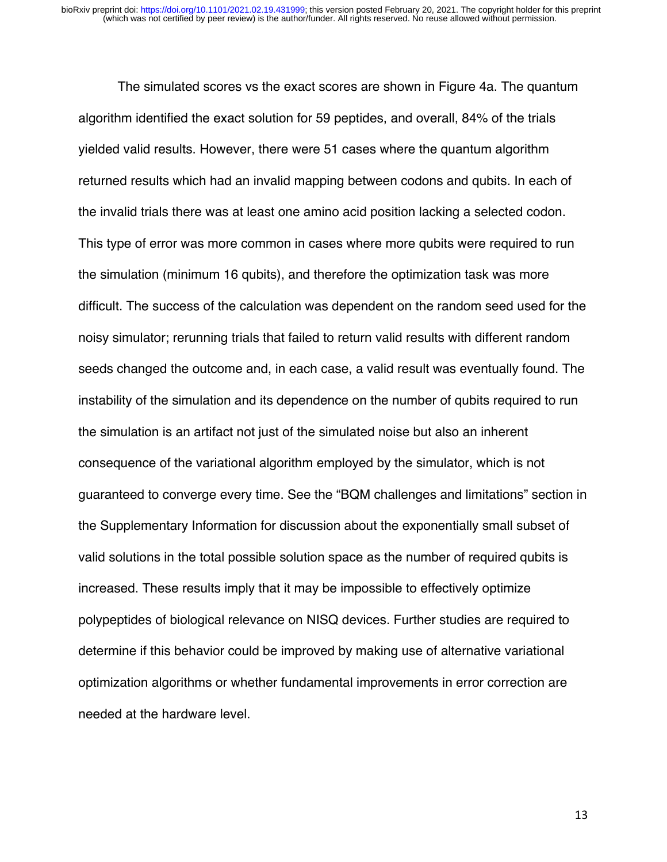The simulated scores vs the exact scores are shown in Figure 4a. The quantum algorithm identified the exact solution for 59 peptides, and overall, 84% of the trials yielded valid results. However, there were 51 cases where the quantum algorithm returned results which had an invalid mapping between codons and qubits. In each of the invalid trials there was at least one amino acid position lacking a selected codon. This type of error was more common in cases where more qubits were required to run the simulation (minimum 16 qubits), and therefore the optimization task was more difficult. The success of the calculation was dependent on the random seed used for the noisy simulator; rerunning trials that failed to return valid results with different random seeds changed the outcome and, in each case, a valid result was eventually found. The instability of the simulation and its dependence on the number of qubits required to run the simulation is an artifact not just of the simulated noise but also an inherent consequence of the variational algorithm employed by the simulator, which is not guaranteed to converge every time. See the "BQM challenges and limitations" section in the Supplementary Information for discussion about the exponentially small subset of valid solutions in the total possible solution space as the number of required qubits is increased. These results imply that it may be impossible to effectively optimize polypeptides of biological relevance on NISQ devices. Further studies are required to determine if this behavior could be improved by making use of alternative variational optimization algorithms or whether fundamental improvements in error correction are needed at the hardware level.

13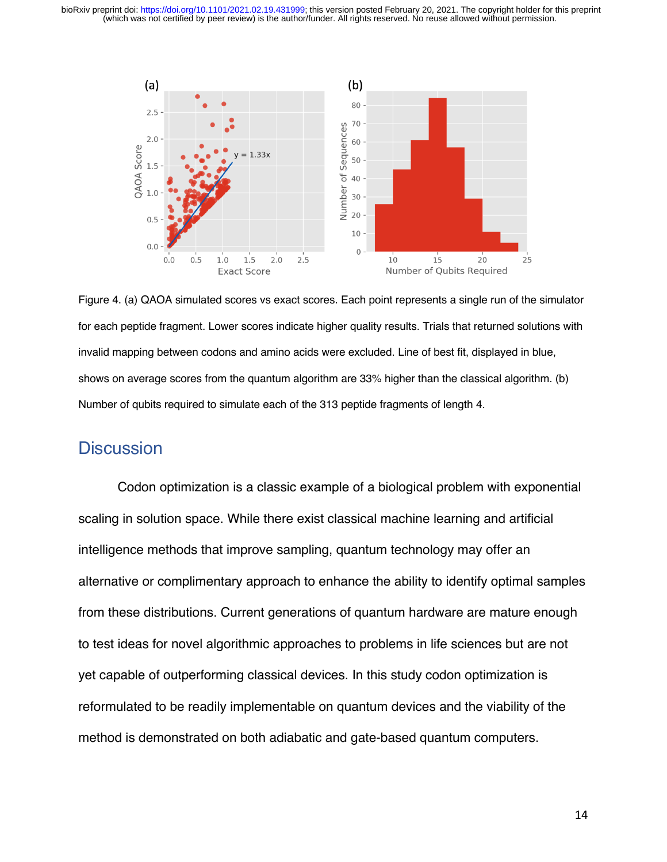(which was not certified by peer review) is the author/funder. All rights reserved. No reuse allowed without permission. bioRxiv preprint doi: [https://doi.org/10.1101/2021.02.19.431999;](https://doi.org/10.1101/2021.02.19.431999) this version posted February 20, 2021. The copyright holder for this preprint



Figure 4. (a) QAOA simulated scores vs exact scores. Each point represents a single run of the simulator for each peptide fragment. Lower scores indicate higher quality results. Trials that returned solutions with invalid mapping between codons and amino acids were excluded. Line of best fit, displayed in blue, shows on average scores from the quantum algorithm are 33% higher than the classical algorithm. (b) Number of qubits required to simulate each of the 313 peptide fragments of length 4.

### **Discussion**

Codon optimization is a classic example of a biological problem with exponential scaling in solution space. While there exist classical machine learning and artificial intelligence methods that improve sampling, quantum technology may offer an alternative or complimentary approach to enhance the ability to identify optimal samples from these distributions. Current generations of quantum hardware are mature enough to test ideas for novel algorithmic approaches to problems in life sciences but are not yet capable of outperforming classical devices. In this study codon optimization is reformulated to be readily implementable on quantum devices and the viability of the method is demonstrated on both adiabatic and gate-based quantum computers.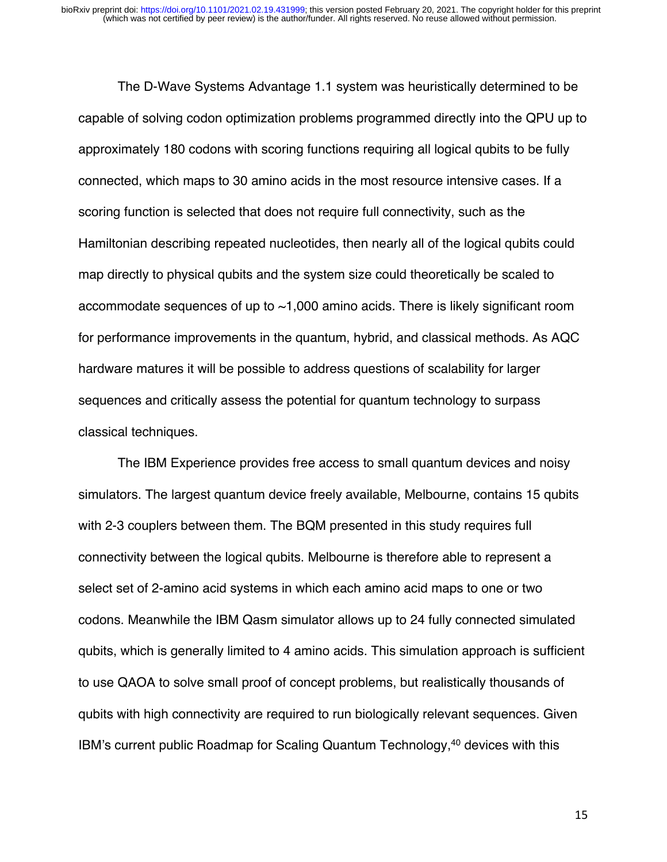The D-Wave Systems Advantage 1.1 system was heuristically determined to be capable of solving codon optimization problems programmed directly into the QPU up to approximately 180 codons with scoring functions requiring all logical qubits to be fully connected, which maps to 30 amino acids in the most resource intensive cases. If a scoring function is selected that does not require full connectivity, such as the Hamiltonian describing repeated nucleotides, then nearly all of the logical qubits could map directly to physical qubits and the system size could theoretically be scaled to accommodate sequences of up to ~1,000 amino acids. There is likely significant room for performance improvements in the quantum, hybrid, and classical methods. As AQC hardware matures it will be possible to address questions of scalability for larger sequences and critically assess the potential for quantum technology to surpass classical techniques.

The IBM Experience provides free access to small quantum devices and noisy simulators. The largest quantum device freely available, Melbourne, contains 15 qubits with 2-3 couplers between them. The BQM presented in this study requires full connectivity between the logical qubits. Melbourne is therefore able to represent a select set of 2-amino acid systems in which each amino acid maps to one or two codons. Meanwhile the IBM Qasm simulator allows up to 24 fully connected simulated qubits, which is generally limited to 4 amino acids. This simulation approach is sufficient to use QAOA to solve small proof of concept problems, but realistically thousands of qubits with high connectivity are required to run biologically relevant sequences. Given IBM's current public Roadmap for Scaling Quantum Technology,40 devices with this

15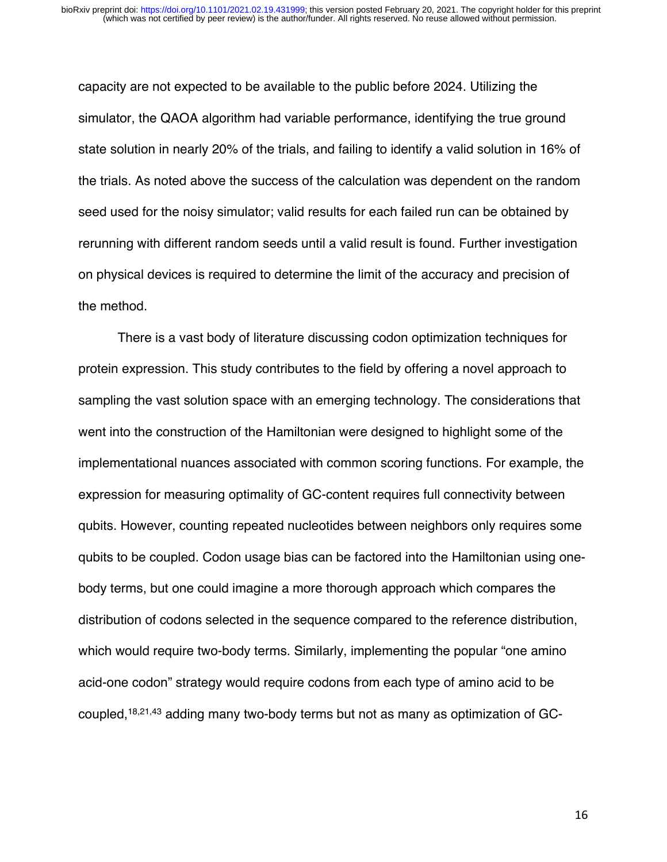capacity are not expected to be available to the public before 2024. Utilizing the simulator, the QAOA algorithm had variable performance, identifying the true ground state solution in nearly 20% of the trials, and failing to identify a valid solution in 16% of the trials. As noted above the success of the calculation was dependent on the random seed used for the noisy simulator; valid results for each failed run can be obtained by rerunning with different random seeds until a valid result is found. Further investigation on physical devices is required to determine the limit of the accuracy and precision of the method.

There is a vast body of literature discussing codon optimization techniques for protein expression. This study contributes to the field by offering a novel approach to sampling the vast solution space with an emerging technology. The considerations that went into the construction of the Hamiltonian were designed to highlight some of the implementational nuances associated with common scoring functions. For example, the expression for measuring optimality of GC-content requires full connectivity between qubits. However, counting repeated nucleotides between neighbors only requires some qubits to be coupled. Codon usage bias can be factored into the Hamiltonian using onebody terms, but one could imagine a more thorough approach which compares the distribution of codons selected in the sequence compared to the reference distribution, which would require two-body terms. Similarly, implementing the popular "one amino" acid-one codon" strategy would require codons from each type of amino acid to be coupled,18,21,43 adding many two-body terms but not as many as optimization of GC-

16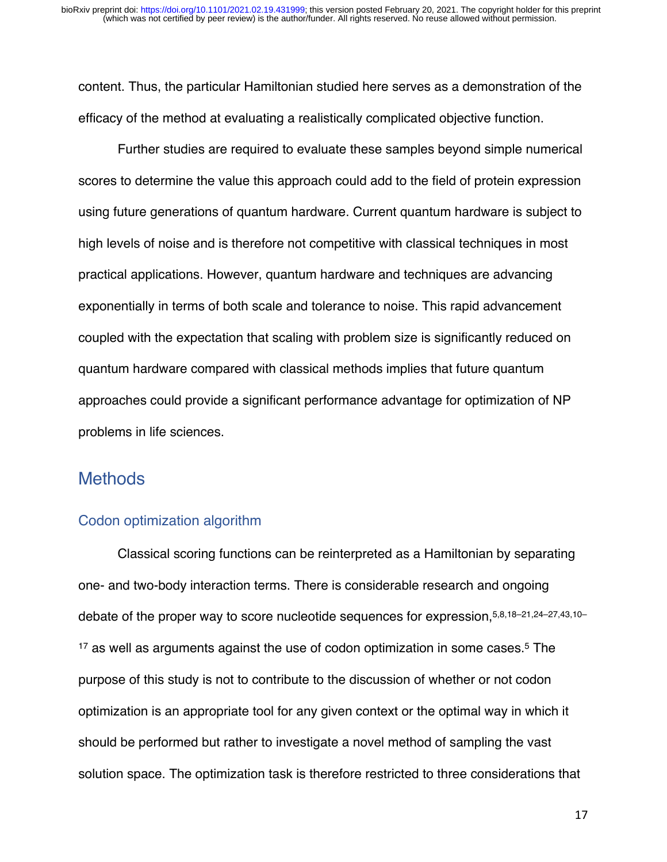content. Thus, the particular Hamiltonian studied here serves as a demonstration of the efficacy of the method at evaluating a realistically complicated objective function.

Further studies are required to evaluate these samples beyond simple numerical scores to determine the value this approach could add to the field of protein expression using future generations of quantum hardware. Current quantum hardware is subject to high levels of noise and is therefore not competitive with classical techniques in most practical applications. However, quantum hardware and techniques are advancing exponentially in terms of both scale and tolerance to noise. This rapid advancement coupled with the expectation that scaling with problem size is significantly reduced on quantum hardware compared with classical methods implies that future quantum approaches could provide a significant performance advantage for optimization of NP problems in life sciences.

### **Methods**

#### Codon optimization algorithm

Classical scoring functions can be reinterpreted as a Hamiltonian by separating one- and two-body interaction terms. There is considerable research and ongoing debate of the proper way to score nucleotide sequences for expression,5,8,18–21,24–27,43,10– <sup>17</sup> as well as arguments against the use of codon optimization in some cases.<sup>5</sup> The purpose of this study is not to contribute to the discussion of whether or not codon optimization is an appropriate tool for any given context or the optimal way in which it should be performed but rather to investigate a novel method of sampling the vast solution space. The optimization task is therefore restricted to three considerations that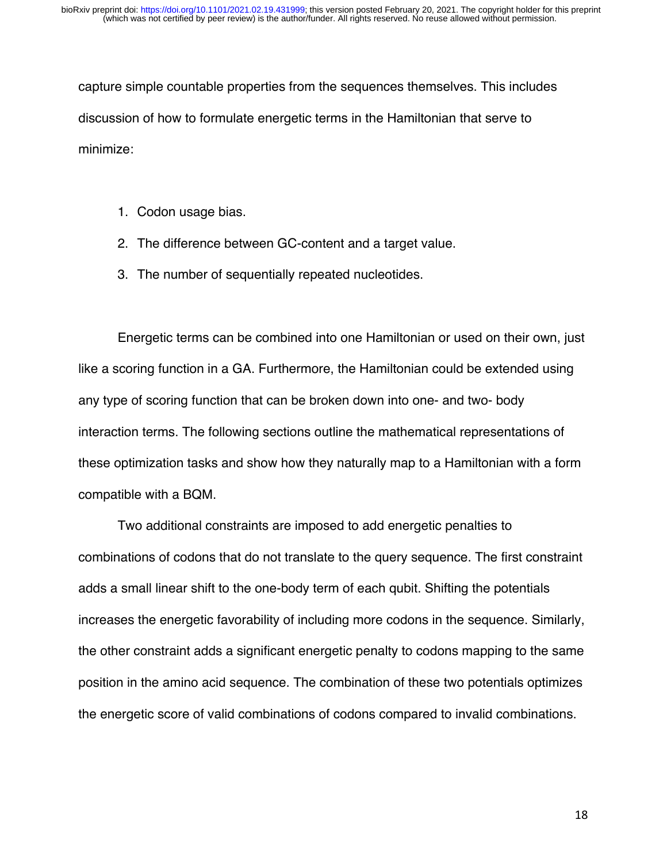capture simple countable properties from the sequences themselves. This includes discussion of how to formulate energetic terms in the Hamiltonian that serve to minimize:

- 1. Codon usage bias.
- 2. The difference between GC-content and a target value.
- 3. The number of sequentially repeated nucleotides.

Energetic terms can be combined into one Hamiltonian or used on their own, just like a scoring function in a GA. Furthermore, the Hamiltonian could be extended using any type of scoring function that can be broken down into one- and two- body interaction terms. The following sections outline the mathematical representations of these optimization tasks and show how they naturally map to a Hamiltonian with a form compatible with a BQM.

Two additional constraints are imposed to add energetic penalties to combinations of codons that do not translate to the query sequence. The first constraint adds a small linear shift to the one-body term of each qubit. Shifting the potentials increases the energetic favorability of including more codons in the sequence. Similarly, the other constraint adds a significant energetic penalty to codons mapping to the same position in the amino acid sequence. The combination of these two potentials optimizes the energetic score of valid combinations of codons compared to invalid combinations.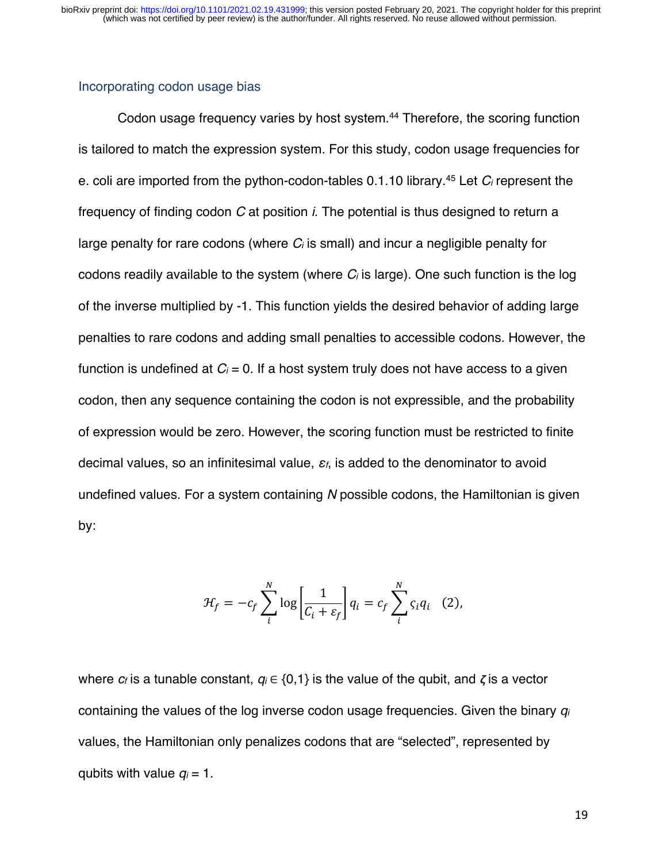#### Incorporating codon usage bias

Codon usage frequency varies by host system.<sup>44</sup> Therefore, the scoring function is tailored to match the expression system. For this study, codon usage frequencies for e. coli are imported from the python-codon-tables 0.1.10 library. <sup>45</sup> Let *Ci* represent the frequency of finding codon *C* at position *i*. The potential is thus designed to return a large penalty for rare codons (where *Ci* is small) and incur a negligible penalty for codons readily available to the system (where *Ci* is large). One such function is the log of the inverse multiplied by -1. This function yields the desired behavior of adding large penalties to rare codons and adding small penalties to accessible codons. However, the function is undefined at  $C_i = 0$ . If a host system truly does not have access to a given codon, then any sequence containing the codon is not expressible, and the probability of expression would be zero. However, the scoring function must be restricted to finite decimal values, so an infinitesimal value, ε*f*, is added to the denominator to avoid undefined values. For a system containing *N* possible codons, the Hamiltonian is given by:

$$
\mathcal{H}_f = -c_f \sum_{i}^{N} \log \left[ \frac{1}{C_i + \varepsilon_f} \right] q_i = c_f \sum_{i}^{N} \varsigma_i q_i \quad (2),
$$

where *cf* is a tunable constant, *qi* ∈ {0,1} is the value of the qubit, and **ζ** is a vector containing the values of the log inverse codon usage frequencies. Given the binary *qi* values, the Hamiltonian only penalizes codons that are "selected", represented by qubits with value  $q_i = 1$ .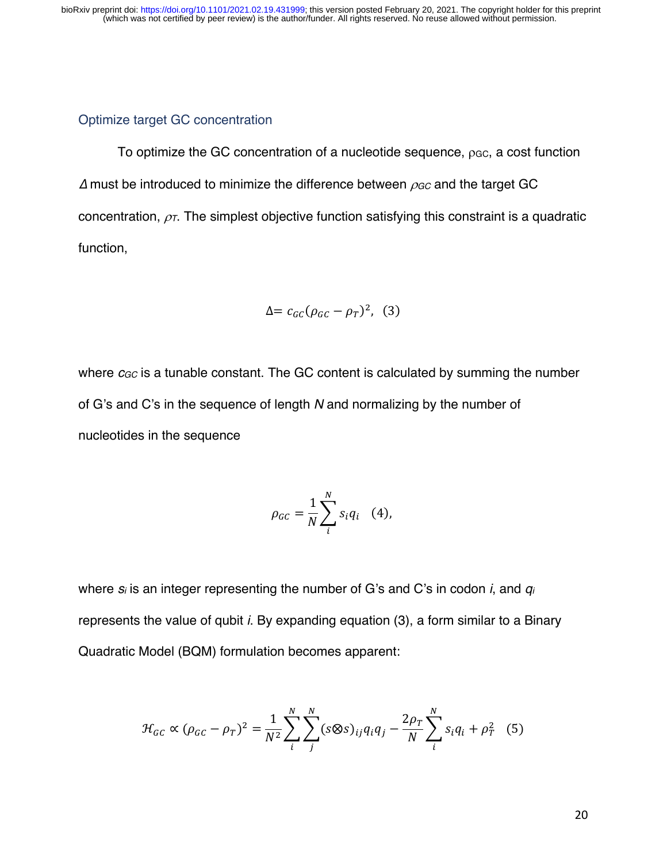#### Optimize target GC concentration

To optimize the GC concentration of a nucleotide sequence,  $\rho_{GC}$ , a cost function ∆ must be introduced to minimize the difference between r*GC* and the target GC concentration,  $\rho$ <sub>*T*</sub>. The simplest objective function satisfying this constraint is a quadratic function,

$$
\Delta = c_{GC} (\rho_{GC} - \rho_T)^2, \quad (3)
$$

where *c<sub>GC</sub>* is a tunable constant. The GC content is calculated by summing the number of G's and C's in the sequence of length *N* and normalizing by the number of nucleotides in the sequence

$$
\rho_{GC} = \frac{1}{N} \sum_{i}^{N} s_i q_i \quad (4),
$$

where *si* is an integer representing the number of G's and C's in codon *i*, and *qi* represents the value of qubit *i*. By expanding equation (3), a form similar to a Binary Quadratic Model (BQM) formulation becomes apparent:

$$
\mathcal{H}_{GC} \propto (\rho_{GC} - \rho_T)^2 = \frac{1}{N^2} \sum_{i}^{N} \sum_{j}^{N} (s \otimes s)_{ij} q_i q_j - \frac{2\rho_T}{N} \sum_{i}^{N} s_i q_i + \rho_T^2
$$
 (5)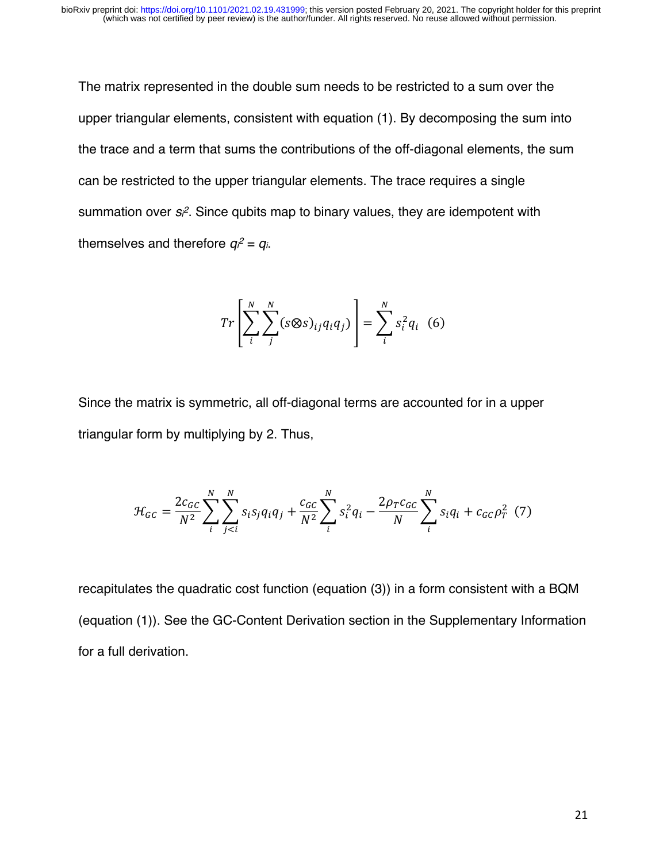The matrix represented in the double sum needs to be restricted to a sum over the upper triangular elements, consistent with equation (1). By decomposing the sum into the trace and a term that sums the contributions of the off-diagonal elements, the sum can be restricted to the upper triangular elements. The trace requires a single summation over  $s^2$ . Since qubits map to binary values, they are idempotent with themselves and therefore  $q_i^2 = q_i$ .

$$
Tr\left[\sum_{i}^{N}\sum_{j}^{N}(s\otimes s)_{ij}q_{i}q_{j}\right]=\sum_{i}^{N}s_{i}^{2}q_{i}\quad(6)
$$

Since the matrix is symmetric, all off-diagonal terms are accounted for in a upper triangular form by multiplying by 2. Thus,

$$
\mathcal{H}_{GC} = \frac{2c_{GC}}{N^2} \sum_{i}^{N} \sum_{j < i}^{N} s_i s_j q_i q_j + \frac{c_{GC}}{N^2} \sum_{i}^{N} s_i^2 q_i - \frac{2\rho_T c_{GC}}{N} \sum_{i}^{N} s_i q_i + c_{GC} \rho_T^2 \tag{7}
$$

recapitulates the quadratic cost function (equation (3)) in a form consistent with a BQM (equation (1)). See the GC-Content Derivation section in the Supplementary Information for a full derivation.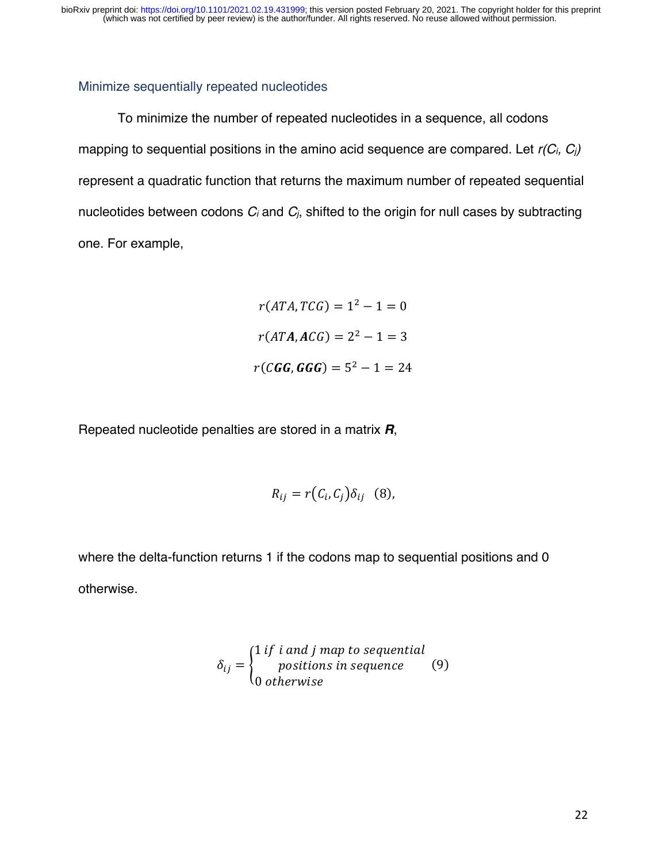#### Minimize sequentially repeated nucleotides

To minimize the number of repeated nucleotides in a sequence, all codons mapping to sequential positions in the amino acid sequence are compared. Let *r(Ci, Cj)* represent a quadratic function that returns the maximum number of repeated sequential nucleotides between codons *Ci* and *Cj*, shifted to the origin for null cases by subtracting one. For example,

> $r(ATA, TCG) = 1^2 - 1 = 0$  $r(ATA, ACG) = 2<sup>2</sup> - 1 = 3$  $r(CGG, GGG) = 5^2 - 1 = 24$

Repeated nucleotide penalties are stored in a matrix *R*,

$$
R_{ij} = r(C_i, C_j) \delta_{ij} \quad (8),
$$

where the delta-function returns 1 if the codons map to sequential positions and 0 otherwise.

$$
\delta_{ij} = \begin{cases} 1 \text{ if } i \text{ and } j \text{ map to sequential} \\ \text{positions in sequence} \\ 0 \text{ otherwise} \end{cases} \tag{9}
$$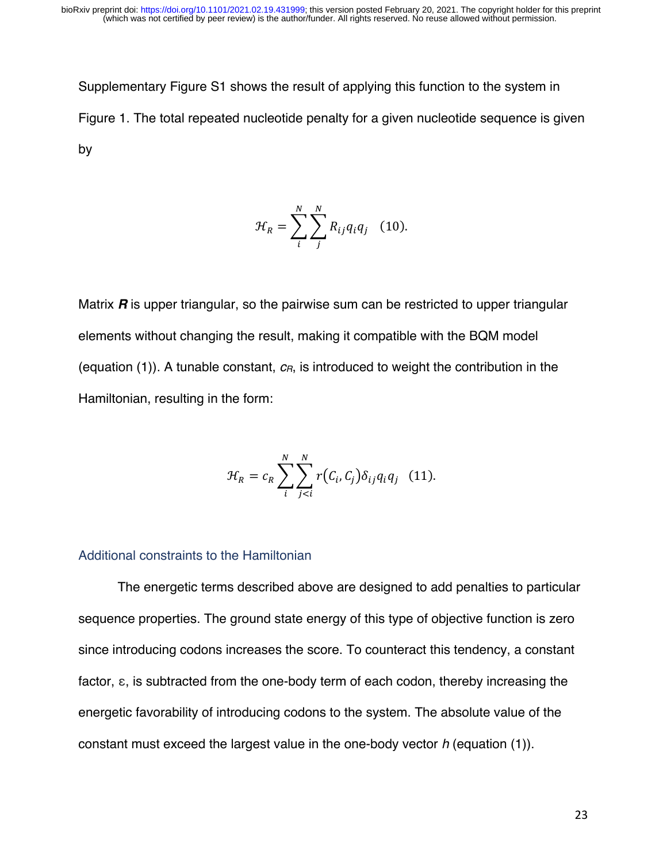Supplementary Figure S1 shows the result of applying this function to the system in Figure 1. The total repeated nucleotide penalty for a given nucleotide sequence is given by

$$
\mathcal{H}_R = \sum_i^N \sum_j^N R_{ij} q_i q_j \quad (10).
$$

Matrix *R* is upper triangular, so the pairwise sum can be restricted to upper triangular elements without changing the result, making it compatible with the BQM model (equation (1)). A tunable constant,  $c_R$ , is introduced to weight the contribution in the Hamiltonian, resulting in the form:

$$
\mathcal{H}_R = c_R \sum_{i}^{N} \sum_{j < i}^{N} r\bigl(c_i, c_j\bigr) \delta_{ij} q_i q_j \quad (11).
$$

#### Additional constraints to the Hamiltonian

The energetic terms described above are designed to add penalties to particular sequence properties. The ground state energy of this type of objective function is zero since introducing codons increases the score. To counteract this tendency, a constant factor, ε, is subtracted from the one-body term of each codon, thereby increasing the energetic favorability of introducing codons to the system. The absolute value of the constant must exceed the largest value in the one-body vector *h* (equation (1)).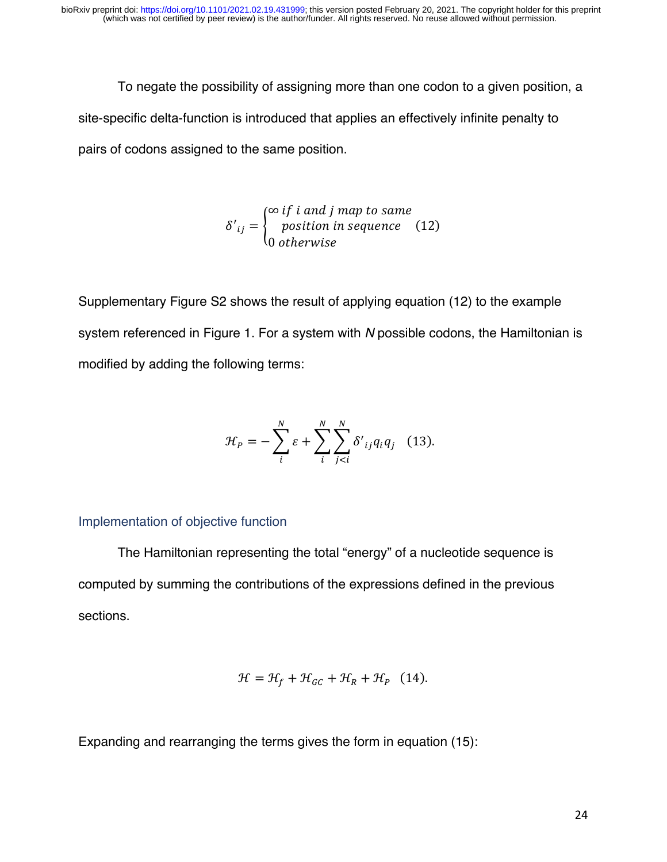To negate the possibility of assigning more than one codon to a given position, a site-specific delta-function is introduced that applies an effectively infinite penalty to pairs of codons assigned to the same position.

$$
\delta'_{ij} = \begin{cases} \n\infty \text{ if } i \text{ and } j \text{ map to same} \\ \n\text{ position in sequence} \\ \n0 \text{ otherwise} \n\end{cases} \tag{12}
$$

Supplementary Figure S2 shows the result of applying equation (12) to the example system referenced in Figure 1. For a system with *N* possible codons, the Hamiltonian is modified by adding the following terms:

$$
\mathcal{H}_P = -\sum_{i}^{N} \varepsilon + \sum_{i}^{N} \sum_{j
$$

#### Implementation of objective function

The Hamiltonian representing the total "energy" of a nucleotide sequence is computed by summing the contributions of the expressions defined in the previous sections.

$$
\mathcal{H} = \mathcal{H}_f + \mathcal{H}_{GC} + \mathcal{H}_R + \mathcal{H}_P \quad (14).
$$

Expanding and rearranging the terms gives the form in equation (15):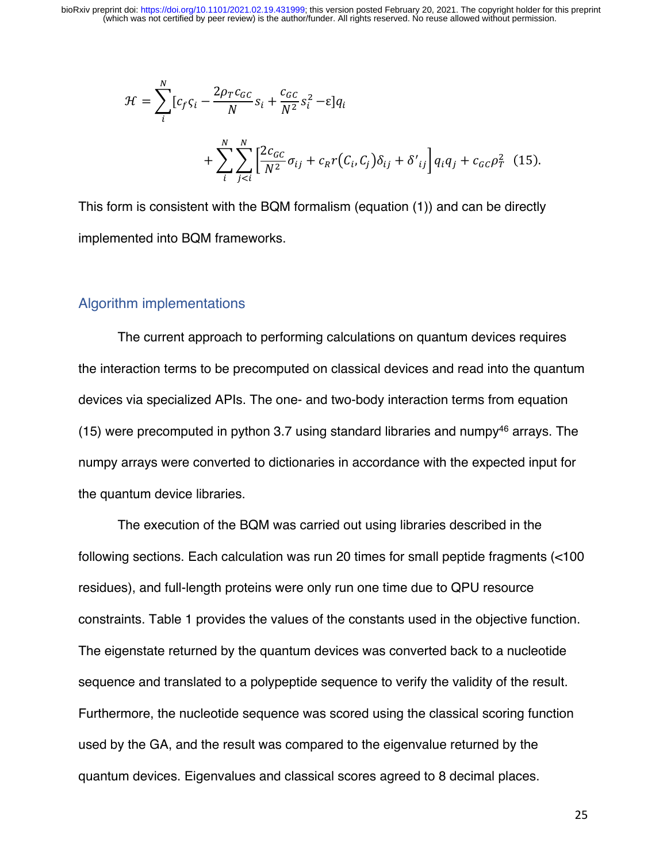$$
\mathcal{H} = \sum_{i}^{N} [c_f \zeta_i - \frac{2\rho_T c_{GC}}{N} s_i + \frac{c_{GC}}{N^2} s_i^2 - \varepsilon] q_i
$$
  
+ 
$$
\sum_{i}^{N} \sum_{j < i}^{N} \left[ \frac{2c_{GC}}{N^2} \sigma_{ij} + c_R r(C_i, C_j) \delta_{ij} + \delta'_{ij} \right] q_i q_j + c_{GC} \rho_T^2 \tag{15}.
$$

This form is consistent with the BQM formalism (equation (1)) and can be directly implemented into BQM frameworks.

#### Algorithm implementations

The current approach to performing calculations on quantum devices requires the interaction terms to be precomputed on classical devices and read into the quantum devices via specialized APIs. The one- and two-body interaction terms from equation (15) were precomputed in python 3.7 using standard libraries and numpy<sup>46</sup> arrays. The numpy arrays were converted to dictionaries in accordance with the expected input for the quantum device libraries.

The execution of the BQM was carried out using libraries described in the following sections. Each calculation was run 20 times for small peptide fragments (<100 residues), and full-length proteins were only run one time due to QPU resource constraints. Table 1 provides the values of the constants used in the objective function. The eigenstate returned by the quantum devices was converted back to a nucleotide sequence and translated to a polypeptide sequence to verify the validity of the result. Furthermore, the nucleotide sequence was scored using the classical scoring function used by the GA, and the result was compared to the eigenvalue returned by the quantum devices. Eigenvalues and classical scores agreed to 8 decimal places.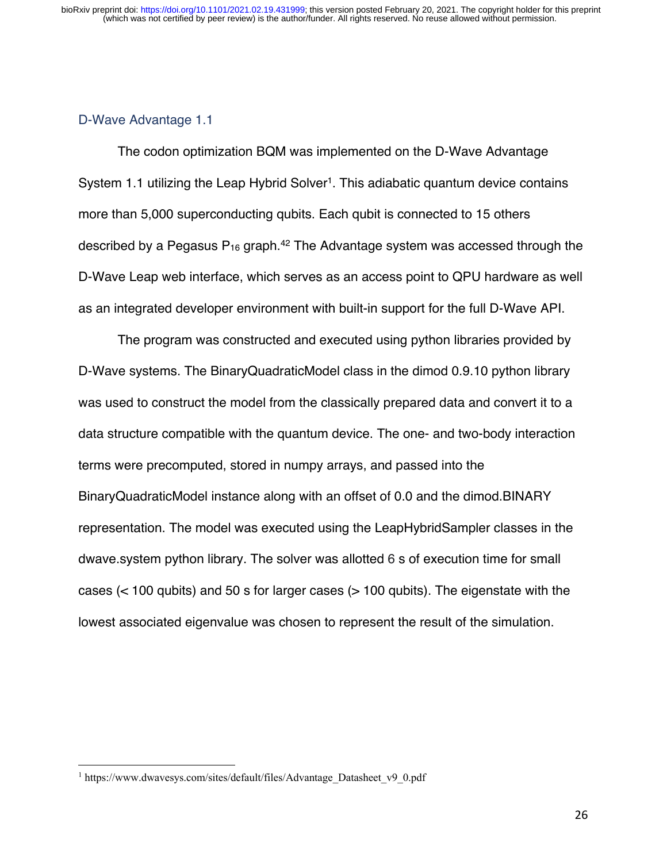#### D-Wave Advantage 1.1

The codon optimization BQM was implemented on the D-Wave Advantage System 1.1 utilizing the Leap Hybrid Solver<sup>1</sup>. This adiabatic quantum device contains more than 5,000 superconducting qubits. Each qubit is connected to 15 others described by a Pegasus  $P_{16}$  graph.<sup>42</sup> The Advantage system was accessed through the D-Wave Leap web interface, which serves as an access point to QPU hardware as well as an integrated developer environment with built-in support for the full D-Wave API.

The program was constructed and executed using python libraries provided by D-Wave systems. The BinaryQuadraticModel class in the dimod 0.9.10 python library was used to construct the model from the classically prepared data and convert it to a data structure compatible with the quantum device. The one- and two-body interaction terms were precomputed, stored in numpy arrays, and passed into the BinaryQuadraticModel instance along with an offset of 0.0 and the dimod.BINARY representation. The model was executed using the LeapHybridSampler classes in the dwave.system python library. The solver was allotted 6 s of execution time for small cases (< 100 qubits) and 50 s for larger cases (> 100 qubits). The eigenstate with the lowest associated eigenvalue was chosen to represent the result of the simulation.

<sup>&</sup>lt;sup>1</sup> https://www.dwavesys.com/sites/default/files/Advantage\_Datasheet\_v9\_0.pdf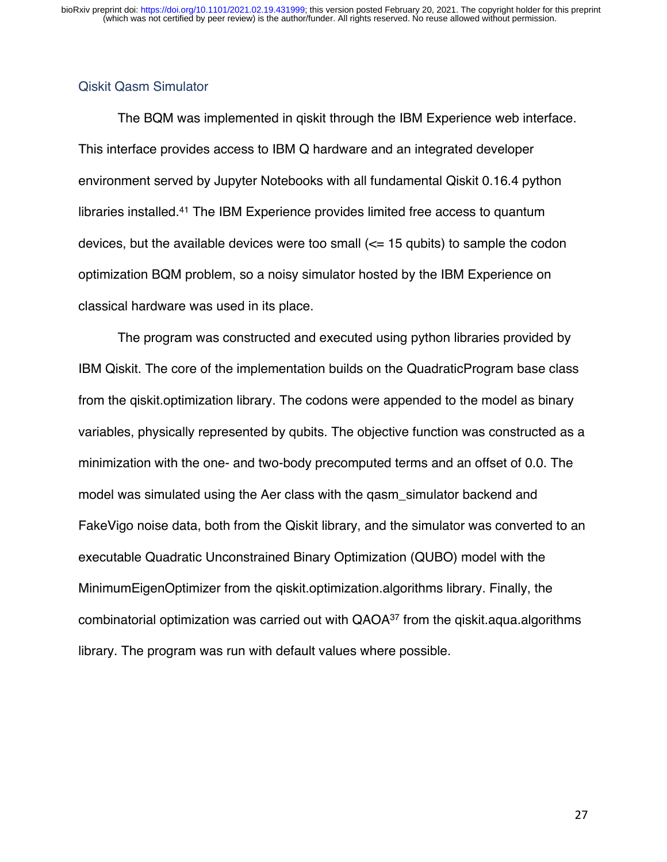#### Qiskit Qasm Simulator

The BQM was implemented in qiskit through the IBM Experience web interface. This interface provides access to IBM Q hardware and an integrated developer environment served by Jupyter Notebooks with all fundamental Qiskit 0.16.4 python libraries installed.41 The IBM Experience provides limited free access to quantum devices, but the available devices were too small  $\ll$  15 qubits) to sample the codon optimization BQM problem, so a noisy simulator hosted by the IBM Experience on classical hardware was used in its place.

The program was constructed and executed using python libraries provided by IBM Qiskit. The core of the implementation builds on the QuadraticProgram base class from the qiskit.optimization library. The codons were appended to the model as binary variables, physically represented by qubits. The objective function was constructed as a minimization with the one- and two-body precomputed terms and an offset of 0.0. The model was simulated using the Aer class with the qasm\_simulator backend and FakeVigo noise data, both from the Qiskit library, and the simulator was converted to an executable Quadratic Unconstrained Binary Optimization (QUBO) model with the MinimumEigenOptimizer from the qiskit.optimization.algorithms library. Finally, the combinatorial optimization was carried out with  $QAOA^{37}$  from the qiskit.aqua.algorithms library. The program was run with default values where possible.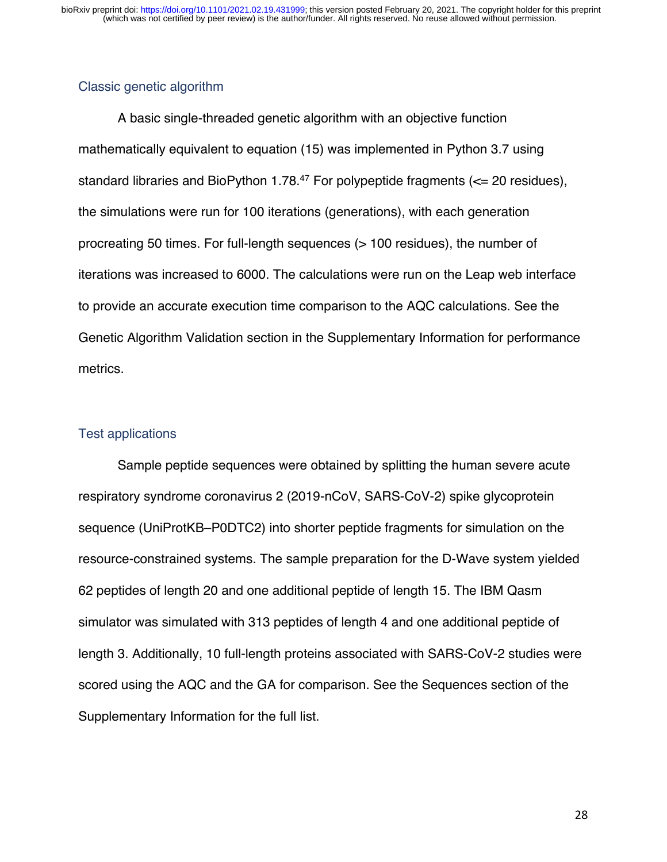#### Classic genetic algorithm

A basic single-threaded genetic algorithm with an objective function mathematically equivalent to equation (15) was implemented in Python 3.7 using standard libraries and BioPython 1.78.<sup>47</sup> For polypeptide fragments ( $\leq$  20 residues), the simulations were run for 100 iterations (generations), with each generation procreating 50 times. For full-length sequences (> 100 residues), the number of iterations was increased to 6000. The calculations were run on the Leap web interface to provide an accurate execution time comparison to the AQC calculations. See the Genetic Algorithm Validation section in the Supplementary Information for performance metrics.

#### Test applications

Sample peptide sequences were obtained by splitting the human severe acute respiratory syndrome coronavirus 2 (2019-nCoV, SARS-CoV-2) spike glycoprotein sequence (UniProtKB–P0DTC2) into shorter peptide fragments for simulation on the resource-constrained systems. The sample preparation for the D-Wave system yielded 62 peptides of length 20 and one additional peptide of length 15. The IBM Qasm simulator was simulated with 313 peptides of length 4 and one additional peptide of length 3. Additionally, 10 full-length proteins associated with SARS-CoV-2 studies were scored using the AQC and the GA for comparison. See the Sequences section of the Supplementary Information for the full list.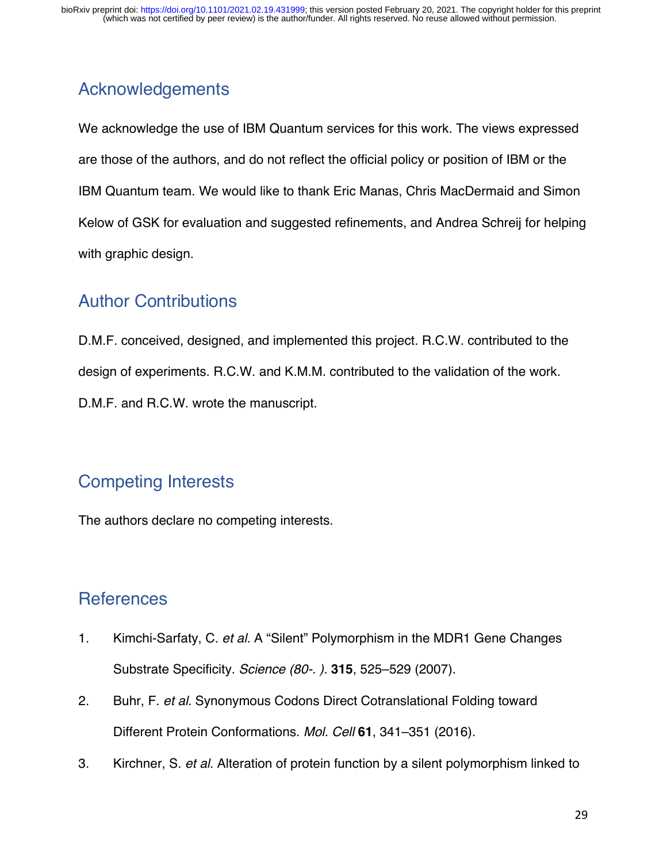# Acknowledgements

We acknowledge the use of IBM Quantum services for this work. The views expressed are those of the authors, and do not reflect the official policy or position of IBM or the IBM Quantum team. We would like to thank Eric Manas, Chris MacDermaid and Simon Kelow of GSK for evaluation and suggested refinements, and Andrea Schreij for helping with graphic design.

## Author Contributions

D.M.F. conceived, designed, and implemented this project. R.C.W. contributed to the design of experiments. R.C.W. and K.M.M. contributed to the validation of the work. D.M.F. and R.C.W. wrote the manuscript.

# Competing Interests

The authors declare no competing interests.

## **References**

- 1. Kimchi-Sarfaty, C. *et al.* A "Silent" Polymorphism in the MDR1 Gene Changes Substrate Specificity. *Science (80-. ).* **315**, 525–529 (2007).
- 2. Buhr, F. *et al.* Synonymous Codons Direct Cotranslational Folding toward Different Protein Conformations. *Mol. Cell* **61**, 341–351 (2016).
- 3. Kirchner, S. *et al.* Alteration of protein function by a silent polymorphism linked to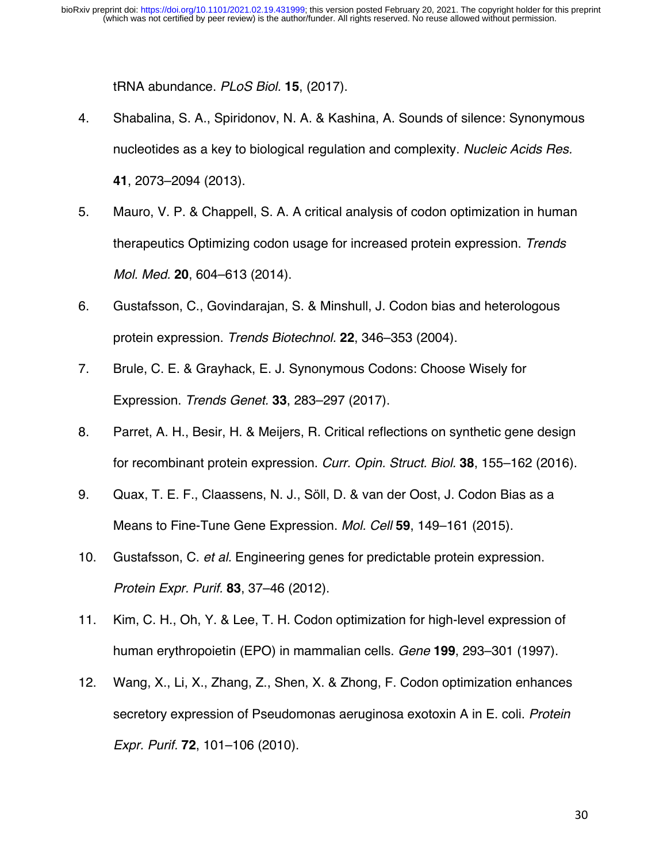tRNA abundance. *PLoS Biol.* **15**, (2017).

- 4. Shabalina, S. A., Spiridonov, N. A. & Kashina, A. Sounds of silence: Synonymous nucleotides as a key to biological regulation and complexity. *Nucleic Acids Res.* **41**, 2073–2094 (2013).
- 5. Mauro, V. P. & Chappell, S. A. A critical analysis of codon optimization in human therapeutics Optimizing codon usage for increased protein expression. *Trends Mol. Med.* **20**, 604–613 (2014).
- 6. Gustafsson, C., Govindarajan, S. & Minshull, J. Codon bias and heterologous protein expression. *Trends Biotechnol.* **22**, 346–353 (2004).
- 7. Brule, C. E. & Grayhack, E. J. Synonymous Codons: Choose Wisely for Expression. *Trends Genet.* **33**, 283–297 (2017).
- 8. Parret, A. H., Besir, H. & Meijers, R. Critical reflections on synthetic gene design for recombinant protein expression. *Curr. Opin. Struct. Biol.* **38**, 155–162 (2016).
- 9. Quax, T. E. F., Claassens, N. J., Söll, D. & van der Oost, J. Codon Bias as a Means to Fine-Tune Gene Expression. *Mol. Cell* **59**, 149–161 (2015).
- 10. Gustafsson, C. *et al.* Engineering genes for predictable protein expression. *Protein Expr. Purif.* **83**, 37–46 (2012).
- 11. Kim, C. H., Oh, Y. & Lee, T. H. Codon optimization for high-level expression of human erythropoietin (EPO) in mammalian cells. *Gene* **199**, 293–301 (1997).
- 12. Wang, X., Li, X., Zhang, Z., Shen, X. & Zhong, F. Codon optimization enhances secretory expression of Pseudomonas aeruginosa exotoxin A in E. coli. *Protein Expr. Purif.* **72**, 101–106 (2010).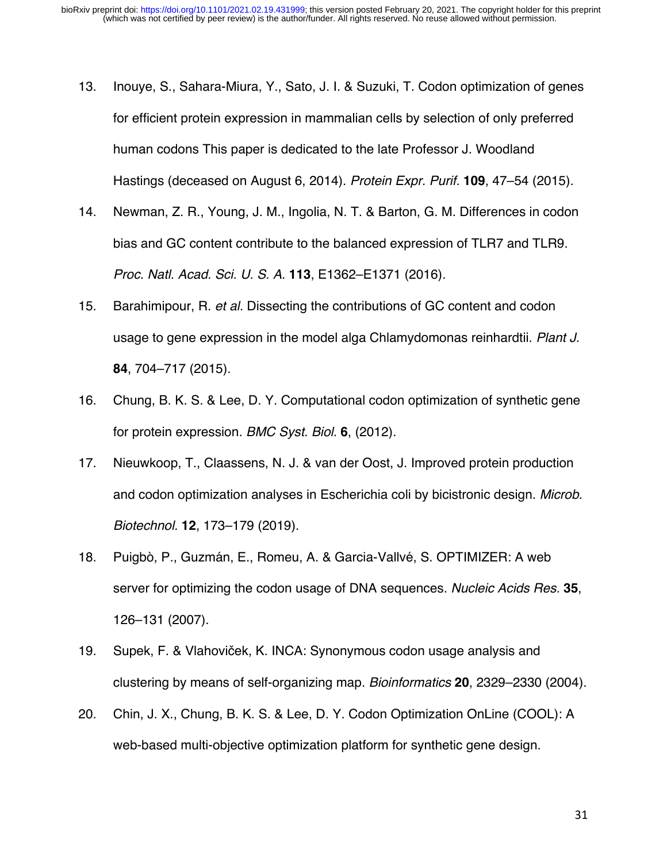- 13. Inouye, S., Sahara-Miura, Y., Sato, J. I. & Suzuki, T. Codon optimization of genes for efficient protein expression in mammalian cells by selection of only preferred human codons This paper is dedicated to the late Professor J. Woodland Hastings (deceased on August 6, 2014). *Protein Expr. Purif.* **109**, 47–54 (2015).
- 14. Newman, Z. R., Young, J. M., Ingolia, N. T. & Barton, G. M. Differences in codon bias and GC content contribute to the balanced expression of TLR7 and TLR9. *Proc. Natl. Acad. Sci. U. S. A.* **113**, E1362–E1371 (2016).
- 15. Barahimipour, R. *et al.* Dissecting the contributions of GC content and codon usage to gene expression in the model alga Chlamydomonas reinhardtii. *Plant J.* **84**, 704–717 (2015).
- 16. Chung, B. K. S. & Lee, D. Y. Computational codon optimization of synthetic gene for protein expression. *BMC Syst. Biol.* **6**, (2012).
- 17. Nieuwkoop, T., Claassens, N. J. & van der Oost, J. Improved protein production and codon optimization analyses in Escherichia coli by bicistronic design. *Microb. Biotechnol.* **12**, 173–179 (2019).
- 18. Puigbò, P., Guzmán, E., Romeu, A. & Garcia-Vallvé, S. OPTIMIZER: A web server for optimizing the codon usage of DNA sequences. *Nucleic Acids Res.* **35**, 126–131 (2007).
- 19. Supek, F. & Vlahoviček, K. INCA: Synonymous codon usage analysis and clustering by means of self-organizing map. *Bioinformatics* **20**, 2329–2330 (2004).
- 20. Chin, J. X., Chung, B. K. S. & Lee, D. Y. Codon Optimization OnLine (COOL): A web-based multi-objective optimization platform for synthetic gene design.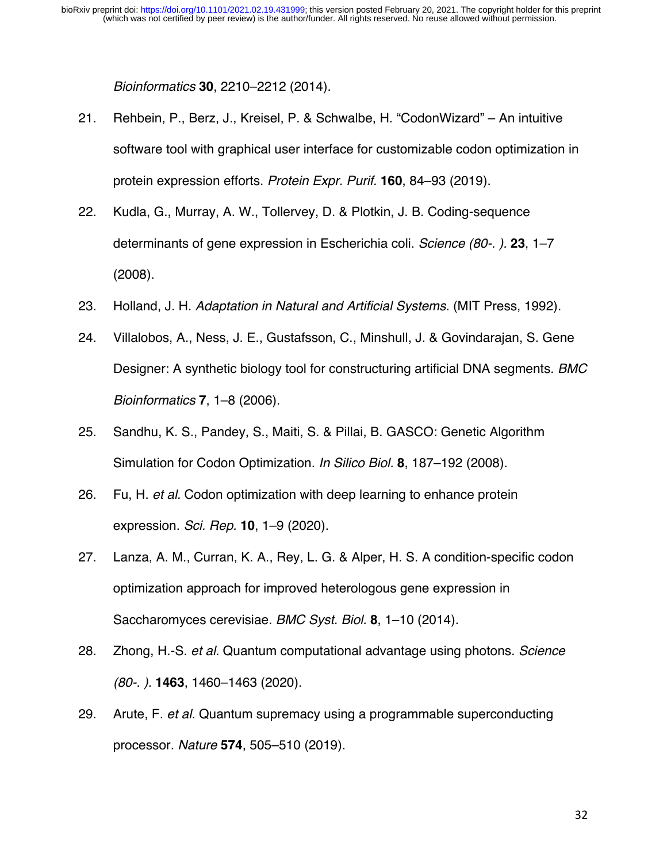*Bioinformatics* **30**, 2210–2212 (2014).

- 21. Rehbein, P., Berz, J., Kreisel, P. & Schwalbe, H. "CodonWizard" An intuitive software tool with graphical user interface for customizable codon optimization in protein expression efforts. *Protein Expr. Purif.* **160**, 84–93 (2019).
- 22. Kudla, G., Murray, A. W., Tollervey, D. & Plotkin, J. B. Coding-sequence determinants of gene expression in Escherichia coli. *Science (80-. ).* **23**, 1–7 (2008).
- 23. Holland, J. H. *Adaptation in Natural and Artificial Systems*. (MIT Press, 1992).
- 24. Villalobos, A., Ness, J. E., Gustafsson, C., Minshull, J. & Govindarajan, S. Gene Designer: A synthetic biology tool for constructuring artificial DNA segments. *BMC Bioinformatics* **7**, 1–8 (2006).
- 25. Sandhu, K. S., Pandey, S., Maiti, S. & Pillai, B. GASCO: Genetic Algorithm Simulation for Codon Optimization. *In Silico Biol.* **8**, 187–192 (2008).
- 26. Fu, H. *et al.* Codon optimization with deep learning to enhance protein expression. *Sci. Rep.* **10**, 1–9 (2020).
- 27. Lanza, A. M., Curran, K. A., Rey, L. G. & Alper, H. S. A condition-specific codon optimization approach for improved heterologous gene expression in Saccharomyces cerevisiae. *BMC Syst. Biol.* **8**, 1–10 (2014).
- 28. Zhong, H.-S. *et al.* Quantum computational advantage using photons. *Science (80-. ).* **1463**, 1460–1463 (2020).
- 29. Arute, F. *et al.* Quantum supremacy using a programmable superconducting processor. *Nature* **574**, 505–510 (2019).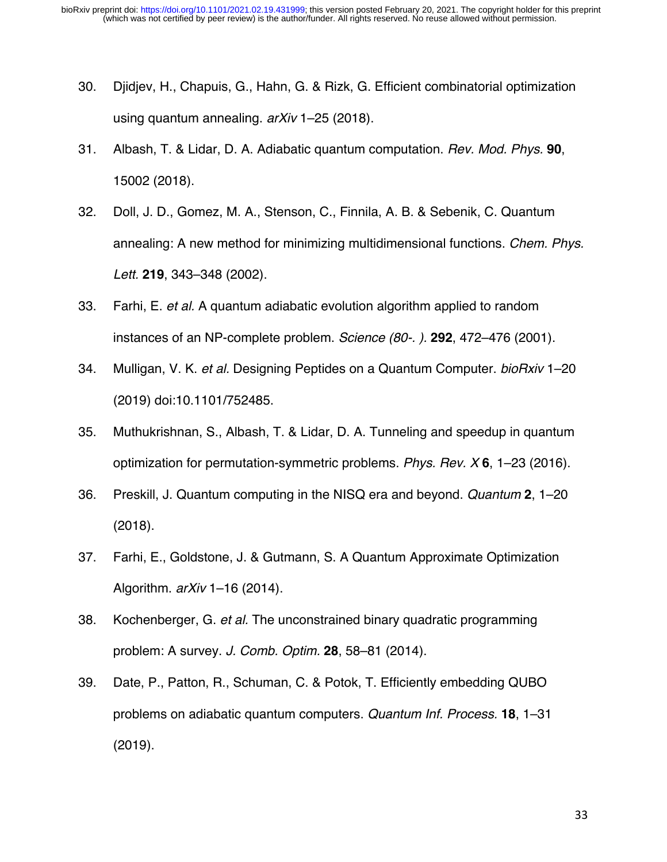- 30. Djidjev, H., Chapuis, G., Hahn, G. & Rizk, G. Efficient combinatorial optimization using quantum annealing. *arXiv* 1–25 (2018).
- 31. Albash, T. & Lidar, D. A. Adiabatic quantum computation. *Rev. Mod. Phys.* **90**, 15002 (2018).
- 32. Doll, J. D., Gomez, M. A., Stenson, C., Finnila, A. B. & Sebenik, C. Quantum annealing: A new method for minimizing multidimensional functions. *Chem. Phys. Lett.* **219**, 343–348 (2002).
- 33. Farhi, E. *et al.* A quantum adiabatic evolution algorithm applied to random instances of an NP-complete problem. *Science (80-. ).* **292**, 472–476 (2001).
- 34. Mulligan, V. K. *et al.* Designing Peptides on a Quantum Computer. *bioRxiv* 1–20 (2019) doi:10.1101/752485.
- 35. Muthukrishnan, S., Albash, T. & Lidar, D. A. Tunneling and speedup in quantum optimization for permutation-symmetric problems. *Phys. Rev. X* **6**, 1–23 (2016).
- 36. Preskill, J. Quantum computing in the NISQ era and beyond. *Quantum* **2**, 1–20 (2018).
- 37. Farhi, E., Goldstone, J. & Gutmann, S. A Quantum Approximate Optimization Algorithm. *arXiv* 1–16 (2014).
- 38. Kochenberger, G. *et al.* The unconstrained binary quadratic programming problem: A survey. *J. Comb. Optim.* **28**, 58–81 (2014).
- 39. Date, P., Patton, R., Schuman, C. & Potok, T. Efficiently embedding QUBO problems on adiabatic quantum computers. *Quantum Inf. Process.* **18**, 1–31 (2019).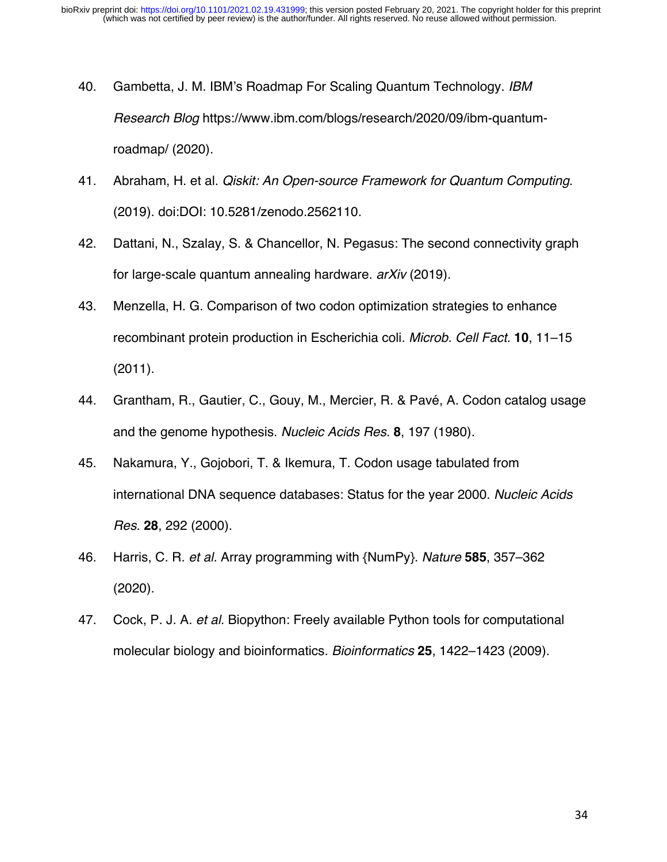- 40. Gambetta, J. M. IBM's Roadmap For Scaling Quantum Technology. *IBM Research Blog* https://www.ibm.com/blogs/research/2020/09/ibm-quantumroadmap/ (2020).
- 41. Abraham, H. et al. *Qiskit: An Open-source Framework for Quantum Computing*. (2019). doi:DOI: 10.5281/zenodo.2562110.
- 42. Dattani, N., Szalay, S. & Chancellor, N. Pegasus: The second connectivity graph for large-scale quantum annealing hardware. *arXiv* (2019).
- 43. Menzella, H. G. Comparison of two codon optimization strategies to enhance recombinant protein production in Escherichia coli. *Microb. Cell Fact.* **10**, 11–15 (2011).
- 44. Grantham, R., Gautier, C., Gouy, M., Mercier, R. & Pavé, A. Codon catalog usage and the genome hypothesis. *Nucleic Acids Res.* **8**, 197 (1980).
- 45. Nakamura, Y., Gojobori, T. & Ikemura, T. Codon usage tabulated from international DNA sequence databases: Status for the year 2000. *Nucleic Acids Res.* **28**, 292 (2000).
- 46. Harris, C. R. *et al.* Array programming with {NumPy}. *Nature* **585**, 357–362 (2020).
- 47. Cock, P. J. A. *et al.* Biopython: Freely available Python tools for computational molecular biology and bioinformatics. *Bioinformatics* **25**, 1422–1423 (2009).